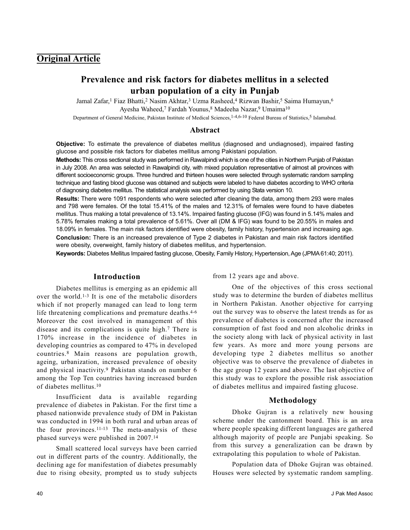## **Original Article**

# **Prevalence and risk factors for diabetes mellitus in a selected urban population of a city in Punjab**

Jamal Zafar,<sup>1</sup> Fiaz Bhatti,<sup>2</sup> Nasim Akhtar,<sup>3</sup> Uzma Rasheed,<sup>4</sup> Rizwan Bashir,<sup>5</sup> Saima Humayun,<sup>6</sup> Ayesha Waheed,<sup>7</sup> Fardah Younus,<sup>8</sup> Madeeha Nazar,<sup>9</sup> Umaima<sup>10</sup>

Department of General Medicine, Pakistan Institute of Medical Sciences, <sup>1-4,6-10</sup> Federal Bureau of Statistics,<sup>5</sup> Islamabad.

#### **Abstract**

**Objective:** To estimate the prevalence of diabetes mellitus (diagnosed and undiagnosed), impaired fasting glucose and possible risk factors for diabetes mellitus among Pakistani population.

**Methods:** This cross sectional study was performed in Rawalpindi which is one of the cities in Northern Punjab of Pakistan in July 2008. An area was selected in Rawalpindi city, with mixed population representative of almost all provinces with different socioeconomic groups. Three hundred and thirteen houses were selected through systematic random sampling technique and fasting blood glucose was obtained and subjects were labeled to have diabetes according to WHO criteria of diagnosing diabetes mellitus. The statistical analysis was performed by using Stata version 10.

**Results:** There were 1091 respondents who were selected after cleaning the data, among them 293 were males and 798 were females. Of the total 15.41% of the males and 12.31% of females were found to have diabetes mellitus. Thus making a total prevalence of 13.14%. Impaired fasting glucose (IFG) was found in 5.14% males and 5.78% females making a total prevalence of 5.61%. Over all (DM & IFG) was found to be 20.55% in males and 18.09% in females. The main risk factors identified were obesity, family history, hypertension and increasing age. **Conclusion:** There is an increased prevalence of Type 2 diabetes in Pakistan and main risk factors identified were obesity, overweight, family history of diabetes mellitus, and hypertension.

**Keywords:** Diabetes Mellitus Impaired fasting glucose, Obesity, Family History, Hypertension, Age (JPMA 61:40; 2011).

#### **Introduction**

Diabetes mellitus is emerging as an epidemic all over the world.1-3 It is one of the metabolic disorders which if not properly managed can lead to long term life threatening complications and premature deaths. 4-6 Moreover the cost involved in management of this disease and its complications is quite high.<sup>7</sup> There is 170% increase in the incidence of diabetes in developing countries as compared to 47% in developed countries.<sup>8</sup> Main reasons are population growth, ageing, urbanization, increased prevalence of obesity and physical inactivity.<sup>9</sup> Pakistan stands on number 6 among the Top Ten countries having increased burden of diabetes mellitus.<sup>10</sup>

Insufficient data is available regarding prevalence of diabetes in Pakistan. For the first time a phased nationwide prevalence study of DM in Pakistan was conducted in 1994 in both rural and urban areas of the four provinces.<sup>11-13</sup> The meta-analysis of these phased surveys were published in 2007.<sup>14</sup>

Small scattered local surveys have been carried out in different parts of the country. Additionally, the declining age for manifestation of diabetes presumably due to rising obesity, prompted us to study subjects from 12 years age and above.

One of the objectives of this cross sectional study was to determine the burden of diabetes mellitus in Northern Pakistan. Another objective for carrying out the survey was to observe the latest trends as for as prevalence of diabetes is concerned after the increased consumption of fast food and non alcoholic drinks in the society along with lack of physical activity in last few years. As more and more young persons are developing type 2 diabetes mellitus so another objective was to observe the prevalence of diabetes in the age group 12 years and above. The last objective of this study was to explore the possible risk association of diabetes mellitus and impaired fasting glucose.

#### **Methodology**

Dhoke Gujran is a relatively new housing scheme under the cantonment board. This is an area where people speaking different languages are gathered although majority of people are Punjabi speaking. So from this survey a generalization can be drawn by extrapolating this population to whole of Pakistan.

Population data of Dhoke Gujran was obtained. Houses were selected by systematic random sampling.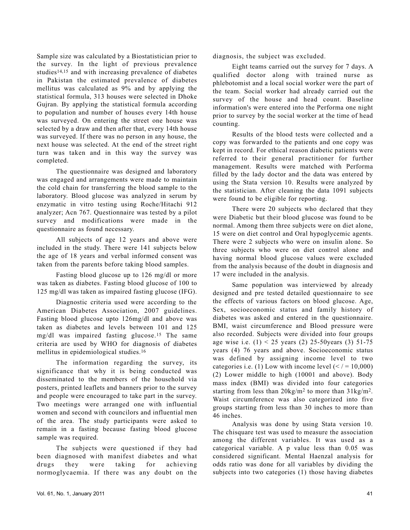Sample size was calculated by a Biostatistician prior to the survey. In the light of previous prevalence studies<sup>14,15</sup> and with increasing prevalence of diabetes in Pakistan the estimated prevalence of diabetes mellitus was calculated as 9% and by applying the statistical formula, 313 houses were selected in Dhoke Gujran. By applying the statistical formula according to population and number of houses every 14th house was surveyed. On entering the street one house was selected by a draw and then after that, every 14th house was surveyed. If there was no person in any house, the next house was selected. At the end of the street right turn was taken and in this way the survey was completed.

The questionnaire was designed and laboratory was engaged and arrangements were made to maintain the cold chain for transferring the blood sample to the laboratory. Blood glucose was analyzed in serum by enzymatic in vitro testing using Roche/Hitachi 912 analyzer; Acn 767. Questionnaire was tested by a pilot survey and modifications were made in the questionnaire as found necessary.

All subjects of age 12 years and above were included in the study. There were 141 subjects below the age of 18 years and verbal informed consent was taken from the parents before taking blood samples.

Fasting blood glucose up to 126 mg/dl or more was taken as diabetes. Fasting blood glucose of 100 to 125 mg/dl was taken as impaired fasting glucose (IFG).

Diagnostic criteria used were according to the American Diabetes Association, 2007 guidelines. Fasting blood glucose upto 126mg/dl and above was taken as diabetes and levels between 101 and 125 mg/dl was impaired fasting glucose.<sup>15</sup> The same criteria are used by WHO for diagnosis of diabetes mellitus in epidemiological studies.<sup>16</sup>

The information regarding the survey, its significance that why it is being conducted was disseminated to the members of the household via posters, printed leaflets and banners prior to the survey and people were encouraged to take part in the survey. Two meetings were arranged one with influential women and second with councilors and influential men of the area. The study participants were asked to remain in a fasting because fasting blood glucose sample was required.

The subjects were questioned if they had been diagnosed with manifest diabetes and what drugs they were taking for achieving normoglycaemia. If there was any doubt on the diagnosis, the subject was excluded.

Eight teams carried out the survey for 7 days. A qualified doctor along with trained nurse as phlebotomist and a local social worker were the part of the team. Social worker had already carried out the survey of the house and head count. Baseline information's were entered into the Performa one night prior to survey by the social worker at the time of head counting.

Results of the blood tests were collected and a copy was forwarded to the patients and one copy was kept in record. For ethical reason diabetic patients were referred to their general practitioner for further management. Results were matched with Performa filled by the lady doctor and the data was entered by using the Stata version 10. Results were analyzed by the statistician. After cleaning the data 1091 subjects were found to be eligible for reporting.

There were 20 subjects who declared that they were Diabetic but their blood glucose was found to be normal. Among them three subjects were on diet alone, 15 were on diet control and Oral hypoglycemic agents. There were 2 subjects who were on insulin alone. So three subjects who were on diet control alone and having normal blood glucose values were excluded from the analysis because of the doubt in diagnosis and 17 were included in the analysis.

Same population was interviewed by already designed and pre tested detailed questionnaire to see the effects of various factors on blood glucose. Age, Sex, socioeconomic status and family history of diabetes was asked and entered in the questionnaire. BMI, waist circumference and Blood pressure were also recorded. Subjects were divided into four groups age wise i.e.  $(1) < 25$  years  $(2)$  25-50 years  $(3)$  51-75 years (4) 76 years and above. Socioeconomic status was defined by assigning income level to two categories i.e. (1) Low with income level  $( $1 = 10,000$ )$ (2) Lower middle to high (10001 and above). Body mass index (BMI) was divided into four categories starting from less than 20kg/m<sup>2</sup> to more than 31kg/m2. Waist circumference was also categorized into five groups starting from less than 30 inches to more than 46 inches.

Analysis was done by using Stata version 10. The chisquare test was used to measure the association among the different variables. It was used as a categorical variable. A p value less than 0.05 was considered significant. Mental Haenzal analysis for odds ratio was done for all variables by dividing the subjects into two categories (1) those having diabetes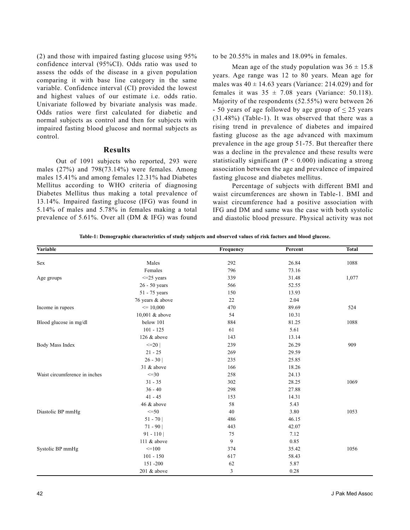(2) and those with impaired fasting glucose using 95% confidence interval (95%CI). Odds ratio was used to assess the odds of the disease in a given population comparing it with base line category in the same variable. Confidence interval (CI) provided the lowest and highest values of our estimate i.e. odds ratio. Univariate followed by bivariate analysis was made. Odds ratios were first calculated for diabetic and normal subjects as control and then for subjects with impaired fasting blood glucose and normal subjects as control.

#### **Results**

Out of 1091 subjects who reported, 293 were males (27%) and 798(73.14%) were females. Among males 15.41% and among females 12.31% had Diabetes Mellitus according to WHO criteria of diagnosing Diabetes Mellitus thus making a total prevalence of 13.14%. Impaired fasting glucose (IFG) was found in 5.14% of males and 5.78% in females making a total prevalence of 5.61%. Over all (DM & IFG) was found

to be 20.55% in males and 18.09% in females.

Mean age of the study population was  $36 \pm 15.8$ years. Age range was 12 to 80 years. Mean age for males was  $40 \pm 14.63$  years (Variance: 214.029) and for females it was  $35 \pm 7.08$  years (Variance: 50.118). Majority of the respondents (52.55%) were between 26  $-50$  years of age followed by age group of  $\leq 25$  years (31.48%) (Table-1). It was observed that there was a rising trend in prevalence of diabetes and impaired fasting glucose as the age advanced with maximum prevalence in the age group 51-75. But thereafter there was a decline in the prevalence and these results were statistically significant ( $P < 0.000$ ) indicating a strong association between the age and prevalence of impaired fasting glucose and diabetes mellitus.

Percentage of subjects with different BMI and waist circumferences are shown in Table-1. BMI and waist circumference had a positive association with IFG and DM and same was the case with both systolic and diastolic blood pressure. Physical activity was not

**Table-1: Demographic characteristics of study subjects and observed values of risk factors and blood glucose.**

| Variable                      |                  | Frequency | Percent | <b>Total</b> |
|-------------------------------|------------------|-----------|---------|--------------|
| Sex                           | Males            | 292       | 26.84   | 1088         |
|                               | Females          | 796       | 73.16   |              |
| Age groups                    | $\leq$ 25 years  | 339       | 31.48   | 1,077        |
|                               | $26 - 50$ years  | 566       | 52.55   |              |
|                               | 51 - 75 years    | 150       | 13.93   |              |
|                               | 76 years & above | 22        | 2.04    |              |
| Income in rupees              | $\leq 10,000$    | 470       | 89.69   | 524          |
|                               | 10,001 & above   | 54        | 10.31   |              |
| Blood glucose in mg/dl        | below 101        | 884       | 81.25   | 1088         |
|                               | $101 - 125$      | 61        | 5.61    |              |
|                               | 126 & above      | 143       | 13.14   |              |
| Body Mass Index               | $\leq$ 20        | 239       | 26.29   | 909          |
|                               | $21 - 25$        | 269       | 29.59   |              |
|                               | $26 - 30$        | 235       | 25.85   |              |
|                               | 31 & above       | 166       | 18.26   |              |
| Waist circumference in inches | $\leq = 30$      | 258       | 24.13   |              |
|                               | $31 - 35$        | 302       | 28.25   | 1069         |
|                               | $36 - 40$        | 298       | 27.88   |              |
|                               | $41 - 45$        | 153       | 14.31   |              |
|                               | 46 & above       | 58        | 5.43    |              |
| Diastolic BP mmHg             | $\leq$ =50       | 40        | 3.80    | 1053         |
|                               | $51 - 70$        | 486       | 46.15   |              |
|                               | $71 - 90$        | 443       | 42.07   |              |
|                               | $91 - 110$       | 75        | 7.12    |              |
|                               | 111 & above      | 9         | 0.85    |              |
| Systolic BP mmHg              | $=100$           | 374       | 35.42   | 1056         |
|                               | $101 - 150$      | 617       | 58.43   |              |
|                               | 151-200          | 62        | 5.87    |              |
|                               | 201 & above      | 3         | 0.28    |              |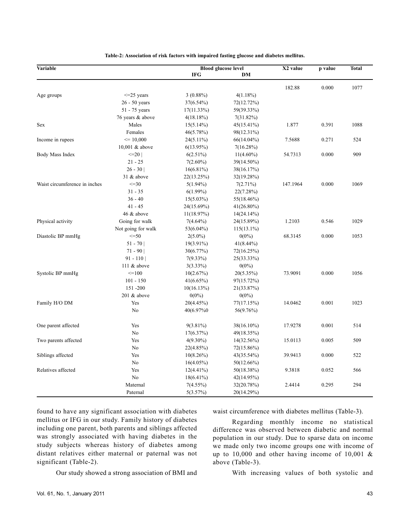| Variable                      |                    | <b>Blood glucose level</b> |               | X2 value | p value | <b>Total</b> |
|-------------------------------|--------------------|----------------------------|---------------|----------|---------|--------------|
|                               |                    | <b>IFG</b>                 | DM            |          |         |              |
|                               |                    |                            |               | 182.88   | 0.000   | 1077         |
| Age groups                    | $\leq$ 25 years    | $3(0.88\%)$                | $4(1.18\%)$   |          |         |              |
|                               | $26 - 50$ years    | 37(6.54%)                  | 72(12.72%)    |          |         |              |
|                               | 51 - 75 years      | $17(11.33\%)$              | 59(39.33%)    |          |         |              |
|                               | 76 years & above   | 4(18.18%)                  | 7(31.82%)     |          |         |              |
| Sex                           | Males              | $15(5.14\%)$               | 45(15.41%)    | 1.877    | 0.391   | 1088         |
|                               | Females            | 46(5.78%)                  | 98(12.31%)    |          |         |              |
| Income in rupees              | $\leq 10,000$      | 24(5.11%)                  | 66(14.04%)    | 7.5688   | 0.271   | 524          |
|                               | 10,001 & above     | $6(13.95\%)$               | 7(16.28%)     |          |         |              |
| Body Mass Index               | $\leq$ 20          | $6(2.51\%)$                | $11(4.60\%)$  | 54.7313  | 0.000   | 909          |
|                               | $21 - 25$          | $7(2.60\%)$                | 39(14.50%)    |          |         |              |
|                               | $26 - 30$          | $16(6.81\%)$               | 38(16.17%)    |          |         |              |
|                               | 31 & above         | 22(13.25%)                 | 32(19.28%)    |          |         |              |
| Waist circumference in inches | $\leq$ = 30        | $5(1.94\%)$                | $7(2.71\%)$   | 147.1964 | 0.000   | 1069         |
|                               | $31 - 35$          | $6(1.99\%)$                | 22(7.28%)     |          |         |              |
|                               | $36 - 40$          | $15(5.03\%)$               | 55(18.46%)    |          |         |              |
|                               | $41 - 45$          | 24(15.69%)                 | 41(26.80%)    |          |         |              |
|                               | 46 & above         | 11(18.97%)                 | $14(24.14\%)$ |          |         |              |
| Physical activity             | Going for walk     | $7(4.64\%)$                | 24(15.89%)    | 1.2103   | 0.546   | 1029         |
|                               | Not going for walk | 53(6.04%)                  | $115(13.1\%)$ |          |         |              |
| Diastolic BP mmHg             | $\leq$ =50         | $2(5.0\%)$                 | $0(0\%)$      | 68.3145  | 0.000   | 1053         |
|                               | $51 - 70$          | $19(3.91\%)$               | $41(8.44\%)$  |          |         |              |
|                               | $71 - 90$          | 30(6.77%)                  | 72(16.25%)    |          |         |              |
|                               | $91 - 110$         | $7(9.33\%)$                | 25(33.33%)    |          |         |              |
|                               | 111 & above        | $3(3.33\%)$                | $0(0\%)$      |          |         |              |
| Systolic BP mmHg              | $=100$             | 10(2.67%)                  | $20(5.35\%)$  | 73.9091  | 0.000   | 1056         |
|                               | $101 - 150$        | 41(6.65%)                  | 97(15.72%)    |          |         |              |
|                               | 151-200            | $10(16.13\%)$              | 21(33.87%)    |          |         |              |
|                               | 201 & above        | $0(0\%)$                   | $0(0\%)$      |          |         |              |
| Family H/O DM                 | Yes                | 20(4.45%)                  | 77(17.15%)    | 14.0462  | 0.001   | 1023         |
|                               | N <sub>0</sub>     | 40(6.97%)                  | 56(9.76%)     |          |         |              |
|                               |                    |                            |               |          |         |              |
| One parent affected           | Yes                | $9(3.81\%)$                | 38(16.10%)    | 17.9278  | 0.001   | 514          |
|                               | No                 | 17(6.37%)                  | 49(18.35%)    |          |         |              |
| Two parents affected          | Yes                | $4(9.30\%)$                | $14(32.56\%)$ | 15.0113  | 0.005   | 509          |
|                               | No                 | 22(4.85%)                  | 72(15.86%)    |          |         |              |
| Siblings affected             | Yes                | $10(8.26\%)$               | 43(35.54%)    | 39.9413  | 0.000   | 522          |
|                               | No                 | $16(4.05\%)$               | 50(12.66%)    |          |         |              |
| Relatives affected            | Yes                | $12(4.41\%)$               | 50(18.38%)    | 9.3818   | 0.052   | 566          |
|                               | N <sub>0</sub>     | $18(6.41\%)$               | 42(14.95%)    |          |         |              |
|                               | Maternal           | $7(4.55\%)$                | 32(20.78%)    | 2.4414   | 0.295   | 294          |
|                               | Paternal           | 5(3.57%)                   | 20(14.29%)    |          |         |              |

**Table-2: Association of risk factors with impaired fasting glucose and diabetes mellitus.**

found to have any significant association with diabetes mellitus or IFG in our study. Family history of diabetes including one parent, both parents and siblings affected was strongly associated with having diabetes in the study subjects whereas history of diabetes among distant relatives either maternal or paternal was not significant (Table-2).

waist circumference with diabetes mellitus (Table-3).

Regarding monthly income no statistical difference was observed between diabetic and normal population in our study. Due to sparse data on income we made only two income groups one with income of up to 10,000 and other having income of 10,001 & above (Table-3).

Our study showed a strong association of BMI and

With increasing values of both systolic and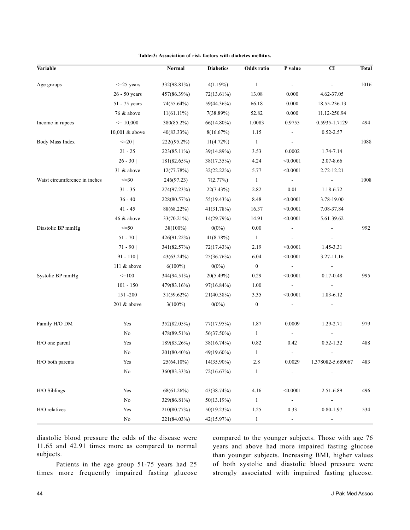| Variable                      |                 | Normal        | <b>Diabetics</b> | Odds ratio       | P value                  | CI                | <b>Total</b> |
|-------------------------------|-----------------|---------------|------------------|------------------|--------------------------|-------------------|--------------|
| Age groups                    | $\leq$ 25 years | 332(98.81%)   | $4(1.19\%)$      | $\mathbf{1}$     |                          |                   | 1016         |
|                               | 26 - 50 years   | 457(86.39%)   | 72(13.61%)       | 13.08            | 0.000                    | 4.62-37.05        |              |
|                               | 51 - 75 years   | 74(55.64%)    | 59(44.36%)       | 66.18            | 0.000                    | 18.55-236.13      |              |
|                               | 76 & above      | $11(61.11\%)$ | 7(38.89%)        | 52.82            | 0.000                    | 11.12-250.94      |              |
| Income in rupees              | $\leq 10,000$   | 380(85.2%)    | 66(14.80%)       | 1.0083           | 0.9755                   | 0.5935-1.7129     | 494          |
|                               | 10,001 & above  | $40(83.33\%)$ | 8(16.67%)        | 1.15             |                          | 0.52-2.57         |              |
| Body Mass Index               | $\leq$ 20       | 222((95.2%)   | $11(4.72\%)$     | $\mathbf{1}$     | $\overline{\phantom{a}}$ |                   | 1088         |
|                               | $21 - 25$       | 223(85.11%)   | 39(14.89%)       | 3.53             | 0.0002                   | 1.74-7.14         |              |
|                               | $26 - 30$       | 181(82.65%)   | 38(17.35%)       | 4.24             | < 0.0001                 | 2.07-8.66         |              |
|                               | 31 & above      | 12(77.78%)    | 32(22.22%)       | 5.77             | < 0.0001                 | 2.72-12.21        |              |
| Waist circumference in inches | $\leq$ -30      | 246(97.23)    | 7(2.77%)         | $\mathbf{1}$     | $\blacksquare$           |                   | 1008         |
|                               | $31 - 35$       | 274(97.23%)   | 22(7.43%)        | 2.82             | 0.01                     | 1.18-6.72         |              |
|                               | $36 - 40$       | 228(80.57%)   | 55(19.43%)       | 8.48             | < 0.0001                 | 3.78-19.00        |              |
|                               | $41 - 45$       | 88(68.22%)    | 41(31.78%)       | 16.37            | < 0.0001                 | 7.08-37.84        |              |
|                               | 46 & above      | 33(70.21%)    | 14(29.79%)       | 14.91            | < 0.0001                 | 5.61-39.62        |              |
| Diastolic BP mmHg             | $\leq$ = 50     | 38(100%)      | $0(0\%)$         | $0.00\,$         | $\overline{\phantom{a}}$ |                   | 992          |
|                               | $51 - 70$       | 426(91.22%)   | 41(8.78%)        | $\mathbf{1}$     | $\overline{\phantom{a}}$ |                   |              |
|                               | $71 - 90$       | 341(82.57%)   | 72(17.43%)       | 2.19             | < 0.0001                 | 1.45-3.31         |              |
|                               | $91 - 110$      | $43(63.24\%)$ | 25(36.76%)       | 6.04             | < 0.0001                 | 3.27-11.16        |              |
|                               | 111 & above     | $6(100\%)$    | $0(0\%)$         | $\boldsymbol{0}$ |                          |                   |              |
| Systolic BP mmHg              | $=100$          | 344(94.51%)   | $20(5.49\%)$     | 0.29             | < 0.0001                 | $0.17 - 0.48$     | 995          |
|                               | $101 - 150$     | 479(83.16%)   | 97(16.84%)       | 1.00             | $\blacksquare$           | $\blacksquare$    |              |
|                               | 151 - 200       | 31(59.62%)    | 21(40.38%)       | 3.35             | < 0.0001                 | 1.83-6.12         |              |
|                               | 201 & above     | $3(100\%)$    | $0(0\%)$         | $\boldsymbol{0}$ |                          |                   |              |
| Family H/O DM                 | Yes             | 352(82.05%)   | 77(17.95%)       | 1.87             | 0.0009                   | 1.29-2.71         | 979          |
|                               | No              | 478(89.51%)   | 56(37.50%)       | $\mathbf{1}$     | $\overline{\phantom{a}}$ | $\overline{a}$    |              |
| H/O one parent                | Yes             | 189(83.26%)   | 38(16.74%)       | 0.82             | 0.42                     | $0.52 - 1.32$     | 488          |
|                               | No              | 201(80.40%)   | 49(19.60%)       | $\mathbf{1}$     |                          |                   |              |
| H/O both parents              | Yes             | 25(64.10%)    | 14(35.90%)       | $2.8\,$          | 0.0029                   | 1.378082-5.689067 | 483          |
|                               | No              | 360(83.33%)   | 72(16.67%)       | $\mathbf{1}$     |                          |                   |              |
| H/O Siblings                  | Yes             | 68(61.26%)    | 43(38.74%)       | 4.16             | < 0.0001                 | 2.51-6.89         | 496          |
|                               | No              | 329(86.81%)   | 50(13.19%)       | $\mathbf{1}$     | $\overline{\phantom{a}}$ |                   |              |
| H/O relatives                 | Yes             | 210(80.77%)   | 50(19.23%)       | 1.25             | 0.33                     | 0.80-1.97         | 534          |
|                               | $\rm No$        | 221(84.03%)   | 42(15.97%)       | $\mathbf{1}$     | $\blacksquare$           | -                 |              |

**Table-3: Association of risk factors with diabetes mellitus.**

diastolic blood pressure the odds of the disease were 11.65 and 42.91 times more as compared to normal subjects.

compared to the younger subjects. Those with age 76 years and above had more impaired fasting glucose than younger subjects. Increasing BMI, higher values of both systolic and diastolic blood pressure were strongly associated with impaired fasting glucose.

Patients in the age group 51-75 years had 25 times more frequently impaired fasting glucose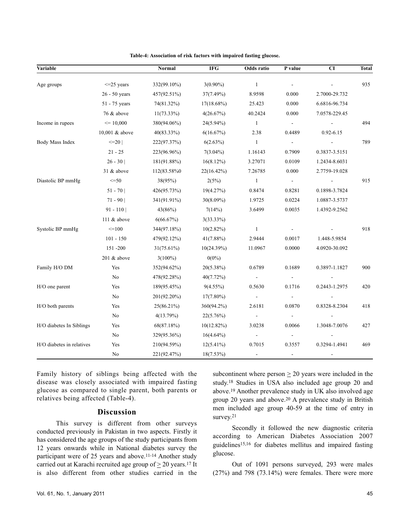| 935<br>$\leq$ 25 years<br>332(99.10%)<br>$3(0.90\%)$<br>$\mathbf{1}$<br>Age groups<br>$\overline{\phantom{a}}$<br>26 - 50 years<br>8.9598<br>457(92.51%)<br>37(7.49%)<br>0.000<br>2.7000-29.732<br>51 - 75 years<br>74(81.32%)<br>$17(18.68\%)$<br>25.423<br>0.000<br>6.6816-96.734<br>76 & above<br>$11(73.33\%)$<br>40.2424<br>4(26.67%)<br>0.000<br>7.0578-229.45<br>Income in rupees<br>$\leq 10,000$<br>$\mathbf{1}$<br>494<br>380(94.06%)<br>$24(5.94\%)$<br>$\blacksquare$<br>$\blacksquare$<br>10,001 & above<br>$40(83.33\%)$<br>$6(16.67\%)$<br>2.38<br>0.4489<br>$0.92 - 6.15$<br>789<br>$\leq$ 20  <br>$\mathbf{1}$<br>222(97.37%)<br>$6(2.63\%)$<br>$\overline{\phantom{a}}$<br>$21 - 25$<br>223(96.96%)<br>$7(3.04\%)$<br>1.16143<br>0.7909<br>0.3837-3.5151<br>$26 - 30$<br>181(91.88%)<br>$16(8.12\%)$<br>3.27071<br>1.2434-8.6031<br>0.0109<br>$31 \&$ above<br>7.26785<br>0.000<br>2.7759-19.028<br>112(83.58%0<br>22(16.42%)<br>915<br>$\leq$ = 50<br>38(95%)<br>2(5%)<br>$\mathbf{1}$<br>$\blacksquare$<br>$51 - 70$<br>426(95.73%)<br>19(4.27%)<br>0.8474<br>0.8281<br>0.1898-3.7824<br>$71 - 90$<br>0.0224<br>341(91.91%)<br>$30(8.09\%)$<br>1.9725<br>1.0887-3.5737<br>$91 - 110$<br>43(86%)<br>7(14%)<br>3.6499<br>0.0035<br>1.4392-9.2562<br>111 & above<br>6(66.67%)<br>$3(33.33\%)$<br>918<br>$=100$<br>344(97.18%)<br>$10(2.82\%)$<br>$\mathbf{1}$<br>$\overline{\phantom{a}}$<br>$101 - 150$<br>479(92.12%)<br>$41(7.88\%)$<br>2.9444<br>0.0017<br>1.448-5.9854<br>151-200<br>$31(75.61\%)$<br>10(24.39%)<br>11.0967<br>0.0000<br>4.0920-30.092<br>201 & above<br>$3(100\%)$<br>$0(0\%)$<br>Yes<br>0.6789<br>0.1689<br>0.3897-1.1827<br>900<br>352(94.62%)<br>$20(5.38\%)$<br>No<br>478(92.28%)<br>40(7.72%)<br>$\overline{\phantom{a}}$<br>$\blacksquare$<br>0.2443-1.2975<br>420<br>Yes<br>189(95.45%)<br>$9(4.55\%)$<br>0.5630<br>0.1716<br>201(92.20%)<br>No<br>$17(7.80\%)$<br>$\blacksquare$<br>$\Box$<br>$\blacksquare$<br>0.8328-8.2304<br>418<br>Yes<br>25(86.21%)<br>360(94.2%)<br>2.6181<br>0.0870<br>No<br>$22(5.76\%)$<br>4(13.79%)<br>$\blacksquare$<br>$\blacksquare$<br>$\blacksquare$<br>H/O diabetes In Siblings<br>68(87.18%)<br>$10(12.82\%)$<br>0.0066<br>427<br>Yes<br>3.0238<br>1.3048-7.0076 | Variable                  | Normal | <b>IFG</b> | Odds ratio | P value | CI | <b>Total</b> |
|---------------------------------------------------------------------------------------------------------------------------------------------------------------------------------------------------------------------------------------------------------------------------------------------------------------------------------------------------------------------------------------------------------------------------------------------------------------------------------------------------------------------------------------------------------------------------------------------------------------------------------------------------------------------------------------------------------------------------------------------------------------------------------------------------------------------------------------------------------------------------------------------------------------------------------------------------------------------------------------------------------------------------------------------------------------------------------------------------------------------------------------------------------------------------------------------------------------------------------------------------------------------------------------------------------------------------------------------------------------------------------------------------------------------------------------------------------------------------------------------------------------------------------------------------------------------------------------------------------------------------------------------------------------------------------------------------------------------------------------------------------------------------------------------------------------------------------------------------------------------------------------------------------------------------------------------------------------------------------------------------------------------------------------------------------------------------------------------------------------------------------------------------------------------------------------------------------------------------------------------------|---------------------------|--------|------------|------------|---------|----|--------------|
|                                                                                                                                                                                                                                                                                                                                                                                                                                                                                                                                                                                                                                                                                                                                                                                                                                                                                                                                                                                                                                                                                                                                                                                                                                                                                                                                                                                                                                                                                                                                                                                                                                                                                                                                                                                                                                                                                                                                                                                                                                                                                                                                                                                                                                                   |                           |        |            |            |         |    |              |
|                                                                                                                                                                                                                                                                                                                                                                                                                                                                                                                                                                                                                                                                                                                                                                                                                                                                                                                                                                                                                                                                                                                                                                                                                                                                                                                                                                                                                                                                                                                                                                                                                                                                                                                                                                                                                                                                                                                                                                                                                                                                                                                                                                                                                                                   |                           |        |            |            |         |    |              |
|                                                                                                                                                                                                                                                                                                                                                                                                                                                                                                                                                                                                                                                                                                                                                                                                                                                                                                                                                                                                                                                                                                                                                                                                                                                                                                                                                                                                                                                                                                                                                                                                                                                                                                                                                                                                                                                                                                                                                                                                                                                                                                                                                                                                                                                   |                           |        |            |            |         |    |              |
|                                                                                                                                                                                                                                                                                                                                                                                                                                                                                                                                                                                                                                                                                                                                                                                                                                                                                                                                                                                                                                                                                                                                                                                                                                                                                                                                                                                                                                                                                                                                                                                                                                                                                                                                                                                                                                                                                                                                                                                                                                                                                                                                                                                                                                                   |                           |        |            |            |         |    |              |
|                                                                                                                                                                                                                                                                                                                                                                                                                                                                                                                                                                                                                                                                                                                                                                                                                                                                                                                                                                                                                                                                                                                                                                                                                                                                                                                                                                                                                                                                                                                                                                                                                                                                                                                                                                                                                                                                                                                                                                                                                                                                                                                                                                                                                                                   |                           |        |            |            |         |    |              |
|                                                                                                                                                                                                                                                                                                                                                                                                                                                                                                                                                                                                                                                                                                                                                                                                                                                                                                                                                                                                                                                                                                                                                                                                                                                                                                                                                                                                                                                                                                                                                                                                                                                                                                                                                                                                                                                                                                                                                                                                                                                                                                                                                                                                                                                   |                           |        |            |            |         |    |              |
|                                                                                                                                                                                                                                                                                                                                                                                                                                                                                                                                                                                                                                                                                                                                                                                                                                                                                                                                                                                                                                                                                                                                                                                                                                                                                                                                                                                                                                                                                                                                                                                                                                                                                                                                                                                                                                                                                                                                                                                                                                                                                                                                                                                                                                                   |                           |        |            |            |         |    |              |
|                                                                                                                                                                                                                                                                                                                                                                                                                                                                                                                                                                                                                                                                                                                                                                                                                                                                                                                                                                                                                                                                                                                                                                                                                                                                                                                                                                                                                                                                                                                                                                                                                                                                                                                                                                                                                                                                                                                                                                                                                                                                                                                                                                                                                                                   | Body Mass Index           |        |            |            |         |    |              |
|                                                                                                                                                                                                                                                                                                                                                                                                                                                                                                                                                                                                                                                                                                                                                                                                                                                                                                                                                                                                                                                                                                                                                                                                                                                                                                                                                                                                                                                                                                                                                                                                                                                                                                                                                                                                                                                                                                                                                                                                                                                                                                                                                                                                                                                   |                           |        |            |            |         |    |              |
|                                                                                                                                                                                                                                                                                                                                                                                                                                                                                                                                                                                                                                                                                                                                                                                                                                                                                                                                                                                                                                                                                                                                                                                                                                                                                                                                                                                                                                                                                                                                                                                                                                                                                                                                                                                                                                                                                                                                                                                                                                                                                                                                                                                                                                                   |                           |        |            |            |         |    |              |
|                                                                                                                                                                                                                                                                                                                                                                                                                                                                                                                                                                                                                                                                                                                                                                                                                                                                                                                                                                                                                                                                                                                                                                                                                                                                                                                                                                                                                                                                                                                                                                                                                                                                                                                                                                                                                                                                                                                                                                                                                                                                                                                                                                                                                                                   |                           |        |            |            |         |    |              |
|                                                                                                                                                                                                                                                                                                                                                                                                                                                                                                                                                                                                                                                                                                                                                                                                                                                                                                                                                                                                                                                                                                                                                                                                                                                                                                                                                                                                                                                                                                                                                                                                                                                                                                                                                                                                                                                                                                                                                                                                                                                                                                                                                                                                                                                   | Diastolic BP mmHg         |        |            |            |         |    |              |
|                                                                                                                                                                                                                                                                                                                                                                                                                                                                                                                                                                                                                                                                                                                                                                                                                                                                                                                                                                                                                                                                                                                                                                                                                                                                                                                                                                                                                                                                                                                                                                                                                                                                                                                                                                                                                                                                                                                                                                                                                                                                                                                                                                                                                                                   |                           |        |            |            |         |    |              |
|                                                                                                                                                                                                                                                                                                                                                                                                                                                                                                                                                                                                                                                                                                                                                                                                                                                                                                                                                                                                                                                                                                                                                                                                                                                                                                                                                                                                                                                                                                                                                                                                                                                                                                                                                                                                                                                                                                                                                                                                                                                                                                                                                                                                                                                   |                           |        |            |            |         |    |              |
|                                                                                                                                                                                                                                                                                                                                                                                                                                                                                                                                                                                                                                                                                                                                                                                                                                                                                                                                                                                                                                                                                                                                                                                                                                                                                                                                                                                                                                                                                                                                                                                                                                                                                                                                                                                                                                                                                                                                                                                                                                                                                                                                                                                                                                                   |                           |        |            |            |         |    |              |
|                                                                                                                                                                                                                                                                                                                                                                                                                                                                                                                                                                                                                                                                                                                                                                                                                                                                                                                                                                                                                                                                                                                                                                                                                                                                                                                                                                                                                                                                                                                                                                                                                                                                                                                                                                                                                                                                                                                                                                                                                                                                                                                                                                                                                                                   |                           |        |            |            |         |    |              |
|                                                                                                                                                                                                                                                                                                                                                                                                                                                                                                                                                                                                                                                                                                                                                                                                                                                                                                                                                                                                                                                                                                                                                                                                                                                                                                                                                                                                                                                                                                                                                                                                                                                                                                                                                                                                                                                                                                                                                                                                                                                                                                                                                                                                                                                   | Systolic BP mmHg          |        |            |            |         |    |              |
|                                                                                                                                                                                                                                                                                                                                                                                                                                                                                                                                                                                                                                                                                                                                                                                                                                                                                                                                                                                                                                                                                                                                                                                                                                                                                                                                                                                                                                                                                                                                                                                                                                                                                                                                                                                                                                                                                                                                                                                                                                                                                                                                                                                                                                                   |                           |        |            |            |         |    |              |
|                                                                                                                                                                                                                                                                                                                                                                                                                                                                                                                                                                                                                                                                                                                                                                                                                                                                                                                                                                                                                                                                                                                                                                                                                                                                                                                                                                                                                                                                                                                                                                                                                                                                                                                                                                                                                                                                                                                                                                                                                                                                                                                                                                                                                                                   |                           |        |            |            |         |    |              |
|                                                                                                                                                                                                                                                                                                                                                                                                                                                                                                                                                                                                                                                                                                                                                                                                                                                                                                                                                                                                                                                                                                                                                                                                                                                                                                                                                                                                                                                                                                                                                                                                                                                                                                                                                                                                                                                                                                                                                                                                                                                                                                                                                                                                                                                   |                           |        |            |            |         |    |              |
|                                                                                                                                                                                                                                                                                                                                                                                                                                                                                                                                                                                                                                                                                                                                                                                                                                                                                                                                                                                                                                                                                                                                                                                                                                                                                                                                                                                                                                                                                                                                                                                                                                                                                                                                                                                                                                                                                                                                                                                                                                                                                                                                                                                                                                                   | Family H/O DM             |        |            |            |         |    |              |
|                                                                                                                                                                                                                                                                                                                                                                                                                                                                                                                                                                                                                                                                                                                                                                                                                                                                                                                                                                                                                                                                                                                                                                                                                                                                                                                                                                                                                                                                                                                                                                                                                                                                                                                                                                                                                                                                                                                                                                                                                                                                                                                                                                                                                                                   |                           |        |            |            |         |    |              |
|                                                                                                                                                                                                                                                                                                                                                                                                                                                                                                                                                                                                                                                                                                                                                                                                                                                                                                                                                                                                                                                                                                                                                                                                                                                                                                                                                                                                                                                                                                                                                                                                                                                                                                                                                                                                                                                                                                                                                                                                                                                                                                                                                                                                                                                   | $H/O$ one parent          |        |            |            |         |    |              |
|                                                                                                                                                                                                                                                                                                                                                                                                                                                                                                                                                                                                                                                                                                                                                                                                                                                                                                                                                                                                                                                                                                                                                                                                                                                                                                                                                                                                                                                                                                                                                                                                                                                                                                                                                                                                                                                                                                                                                                                                                                                                                                                                                                                                                                                   |                           |        |            |            |         |    |              |
|                                                                                                                                                                                                                                                                                                                                                                                                                                                                                                                                                                                                                                                                                                                                                                                                                                                                                                                                                                                                                                                                                                                                                                                                                                                                                                                                                                                                                                                                                                                                                                                                                                                                                                                                                                                                                                                                                                                                                                                                                                                                                                                                                                                                                                                   | H/O both parents          |        |            |            |         |    |              |
|                                                                                                                                                                                                                                                                                                                                                                                                                                                                                                                                                                                                                                                                                                                                                                                                                                                                                                                                                                                                                                                                                                                                                                                                                                                                                                                                                                                                                                                                                                                                                                                                                                                                                                                                                                                                                                                                                                                                                                                                                                                                                                                                                                                                                                                   |                           |        |            |            |         |    |              |
|                                                                                                                                                                                                                                                                                                                                                                                                                                                                                                                                                                                                                                                                                                                                                                                                                                                                                                                                                                                                                                                                                                                                                                                                                                                                                                                                                                                                                                                                                                                                                                                                                                                                                                                                                                                                                                                                                                                                                                                                                                                                                                                                                                                                                                                   |                           |        |            |            |         |    |              |
| No<br>329(95.36%)<br>$16(4.64\%)$<br>$\blacksquare$<br>$\overline{\phantom{a}}$                                                                                                                                                                                                                                                                                                                                                                                                                                                                                                                                                                                                                                                                                                                                                                                                                                                                                                                                                                                                                                                                                                                                                                                                                                                                                                                                                                                                                                                                                                                                                                                                                                                                                                                                                                                                                                                                                                                                                                                                                                                                                                                                                                   |                           |        |            |            |         |    |              |
| 469<br>0.3294-1.4941<br>Yes<br>210(94.59%)<br>$12(5.41\%)$<br>0.7015<br>0.3557                                                                                                                                                                                                                                                                                                                                                                                                                                                                                                                                                                                                                                                                                                                                                                                                                                                                                                                                                                                                                                                                                                                                                                                                                                                                                                                                                                                                                                                                                                                                                                                                                                                                                                                                                                                                                                                                                                                                                                                                                                                                                                                                                                    | H/O diabetes in relatives |        |            |            |         |    |              |
| No<br>221(92.47%)<br>$18(7.53\%)$                                                                                                                                                                                                                                                                                                                                                                                                                                                                                                                                                                                                                                                                                                                                                                                                                                                                                                                                                                                                                                                                                                                                                                                                                                                                                                                                                                                                                                                                                                                                                                                                                                                                                                                                                                                                                                                                                                                                                                                                                                                                                                                                                                                                                 |                           |        |            |            |         |    |              |

**Table-4: Association of risk factors with impaired fasting glucose.**

Family history of siblings being affected with the disease was closely associated with impaired fasting glucose as compared to single parent, both parents or relatives being affected (Table-4).

### **Discussion**

This survey is different from other surveys conducted previously in Pakistan in two aspects. Firstly it has considered the age groups of the study participants from 12 years onwards while in National diabetes survey the participant were of 25 years and above.11-14 Another study carried out at Karachi recruited age group of > 20 years.<sup>17</sup> It is also different from other studies carried in the

subcontinent where person  $\geq 20$  years were included in the study.<sup>18</sup> Studies in USA also included age group 20 and above.<sup>19</sup> Another prevalence study in UK also involved age group 20 years and above.<sup>20</sup> A prevalence study in British men included age group 40-59 at the time of entry in survey.<sup>21</sup>

Secondly it followed the new diagnostic criteria according to American Diabetes Association 2007 guidelines15,16 for diabetes mellitus and impaired fasting glucose.

Out of 1091 persons surveyed, 293 were males (27%) and 798 (73.14%) were females. There were more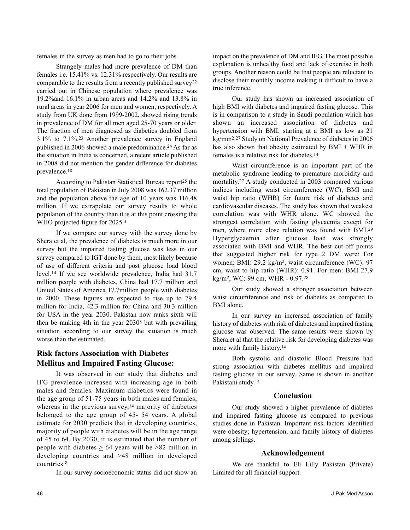females in the survey as men had to go to their jobs.

Strangely males had more prevalence of DM than females i.e. 15.41% vs. 12.31% respectively. Our results are comparable to the results from a recently published survey<sup>22</sup> carried out in Chinese population where prevalence was 19.2%and 16.1% in urban areas and 14.2% and 13.8% in rural areas in year 2006 for men and women, respectively. A study from UK done from 1999-2002, showed rising trends in prevalence of DM for all men aged 25-70 years or older. The fraction of men diagnosed as diabetics doubled from 3.1% to 7.1%.<sup>23</sup> Another prevalence survey in England published in 2006 showed a male predominance.<sup>24</sup> As far as the situation in India is concerned, a recent article published in 2008 did not mention the gender difference for diabetes prevalence.<sup>18</sup>

According to Pakistan Statistical Bureau report<sup>25</sup> the total population of Pakistan in July 2008 was 162.37 million and the population above the age of 10 years was 116.48 million. If we extrapolate our survey results to whole population of the country than it is at this point crossing the WHO projected figure for 2025.<sup>3</sup>

If we compare our survey with the survey done by Shera et al, the prevalence of diabetes is much more in our survey but the impaired fasting glucose was less in our survey compared to IGT done by them, most likely because of use of different criteria and post glucose load blood level.<sup>14</sup> If we see worldwide prevalence, India had 31.7 million people with diabetes, China had 17.7 million and United States of America 17.7million people with diabetes in 2000. These figures are expected to rise up to 79.4 million for India, 42.3 million for China and 30.3 million for USA in the year 2030. Pakistan now ranks sixth will then be ranking 4th in the year 2030<sup>8</sup> but with prevailing situation according to our survey the situation is much worse than the estimated.

## **Risk factors Association with Diabetes Mellitus and Impaired Fasting Glucose:**

It was observed in our study that diabetes and IFG prevalence increased with increasing age in both males and females. Maximum diabetics were found in the age group of 51-75 years in both males and females, whereas in the previous survey, $14$  majority of diabetics belonged to the age group of 45- 54 years. A global estimate for 2030 predicts that in developing countries, majority of people with diabetes will be in the age range of 45 to 64. By 2030, it is estimated that the number of people with diabetes  $\geq 64$  years will be >82 million in developing countries and >48 million in developed countries.<sup>8</sup>

In our survey socioeconomic status did not show an

impact on the prevalence of DM and IFG. The most possible explanation is unhealthy food and lack of exercise in both groups. Another reason could be that people are reluctant to disclose their monthly income making it difficult to have a true inference.

Our study has shown an increased association of high BMI with diabetes and impaired fasting glucose. This is in comparison to a study in Saudi population which has shown an increased association of diabetes and hypertension with BMI, starting at a BMI as low as 21 kg/mm<sup>2</sup>. <sup>27</sup> Study on National Prevalence of diabetes in 2006 has also shown that obesity estimated by BMI + WHR in females is a relative risk for diabetes.<sup>14</sup>

Waist circumference is an important part of the metabolic syndrome leading to premature morbidity and mortality.<sup>27</sup> A study conducted in 2003 compared various indices including waist circumference (WC), BMI and waist hip ratio (WHR) for future risk of diabetes and cardiovascular diseases. The study has shown that weakest correlation was with WHR alone. WC showed the strongest correlation with fasting glycaemia except for men, where more close relation was found with BMI.<sup>29</sup> Hyperglycaemia after glucose load was strongly associated with BMI and WHR. The best cut-off points that suggested higher risk for type 2 DM were: For women: BMI: 29.2 kg/m<sup>2</sup>, waist circumference (WC): 97 cm, waist to hip ratio (WHR): 0.91. For men: BMI 27.9 kg/m<sup>2</sup>, WC: 99 cm, WHR - 0.97.<sup>28</sup>

Our study showed a stronger association between waist circumference and risk of diabetes as compared to BMI alone.

In our survey an increased association of family history of diabetes with risk of diabetes and impaired fasting glucose was observed. The same results were shown by Shera.et al that the relative risk for developing diabetes was more with family history.<sup>14</sup>

Both systolic and diastolic Blood Pressure had strong association with diabetes mellitus and impaired fasting glucose in our survey. Same is shown in another Pakistani study.<sup>14</sup>

#### **Conclusion**

Our study showed a higher prevalence of diabetes and impaired fasting glucose as compared to previous studies done in Pakistan. Important risk factors identified were obesity; hypertension, and family history of diabetes among siblings.

### **Acknowledgement**

We are thankful to Eli Lilly Pakistan (Private) Limited for all financial support.